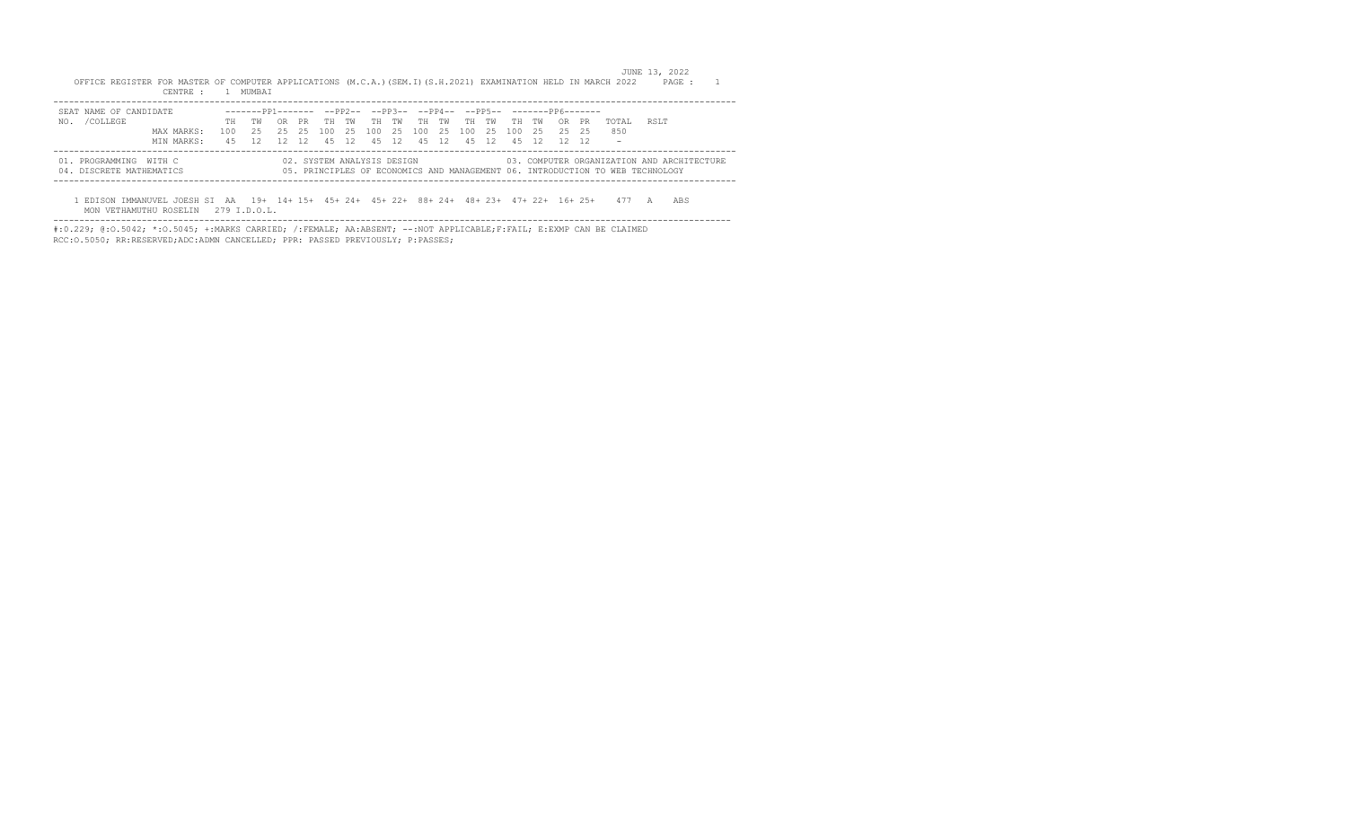|                                                    | OFFICE REGISTER FOR MASTER OF COMPUTER APPLICATIONS (M.C.A.)(SEM.I)(S.H.2021) EXAMINATION HELD IN MARCH 2022<br>CENTRE : | $\sim$ 1 | MUMBAT                                                              |     |     |     |     |                            |      |     |       |     |       |     |       |       |    |                                                                                                                             | JUNE 13, 2022 | PAGE : |  |
|----------------------------------------------------|--------------------------------------------------------------------------------------------------------------------------|----------|---------------------------------------------------------------------|-----|-----|-----|-----|----------------------------|------|-----|-------|-----|-------|-----|-------|-------|----|-----------------------------------------------------------------------------------------------------------------------------|---------------|--------|--|
| SEAT NAME OF CANDIDATE                             |                                                                                                                          |          | -------PP1------- --PP2-- --PP3-- --PP4-- --PP5-- -------PP6------- |     |     |     |     |                            |      |     |       |     |       |     |       |       |    |                                                                                                                             |               |        |  |
| /COLLEGE<br>NO.                                    |                                                                                                                          | TH.      | тw                                                                  | OR. | PR. | TH. | TW  | TH                         | TW   | TH. | TW    | TH  | TW    | TH  | TW    | 0R.   | PR | TOTAL.                                                                                                                      | RSLT          |        |  |
|                                                    | MAX MARKS:                                                                                                               | 100.     | 25.                                                                 | 25. | 25  | 100 | -25 | 100                        | -2.5 | 100 | - 2.5 | 100 | -25   | 100 | 2.5   | 25 25 |    | 850                                                                                                                         |               |        |  |
|                                                    | MIN MARKS:                                                                                                               | 45.      | 12                                                                  | 12  | 12  | 45  | 12  | 4.5                        | 12   |     | 45 12 |     | 45 12 |     | 45 12 | 12 12 |    | $\overline{\phantom{a}}$                                                                                                    |               |        |  |
| 01. PROGRAMMING WITH C<br>04. DISCRETE MATHEMATICS |                                                                                                                          |          |                                                                     |     |     |     |     | 02. SYSTEM ANALYSIS DESIGN |      |     |       |     |       |     |       |       |    | 03. COMPUTER ORGANIZATION AND ARCHITECTURE<br>05. PRINCIPLES OF ECONOMICS AND MANAGEMENT 06. INTRODUCTION TO WEB TECHNOLOGY |               |        |  |
|                                                    | EDISON IMMANUVEL JOESH SI AA                                                                                             |          | 19+ 14+ 15+ 45+ 24+ 45+ 22+ 88+ 24+ 48+ 23+ 47+ 22+ 16+ 25+         |     |     |     |     |                            |      |     |       |     |       |     |       |       |    |                                                                                                                             |               | ABS    |  |

 MON VETHAMUTHU ROSELIN 279 I.D.O.L. ----------------------------------------------------------------------------------------------------------------------------------

#:0.229; @:O.5042; \*:O.5045; +:MARKS CARRIED; /:FEMALE; AA:ABSENT; --:NOT APPLICABLE;F:FAIL; E:EXMP CAN BE CLAIMED RCC:O.5050; RR:RESERVED;ADC:ADMN CANCELLED; PPR: PASSED PREVIOUSLY; P:PASSES;